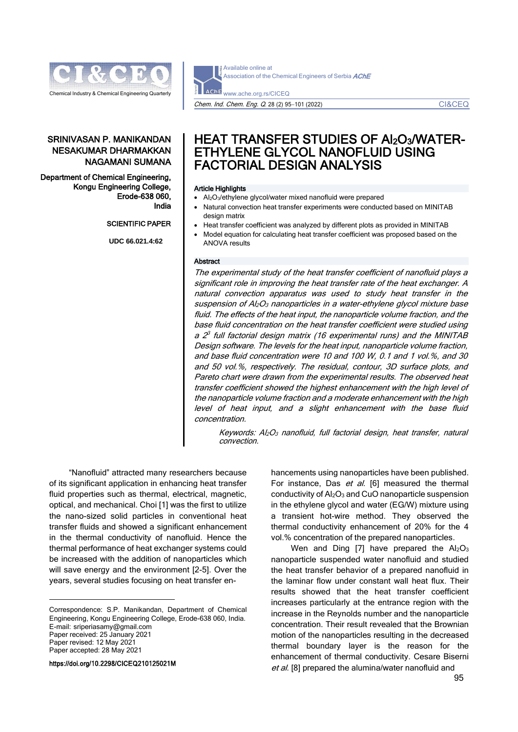

SRINIVASAN P. MANIKANDAN NESAKUMAR DHARMAKKAN NAGAMANI SUMANA

Department of Chemical Engineering, Kongu Engineering College, Erode-638 060, India

SCIENTIFIC PAPER

**UDC 66.021.4:62**

# Available online at Association of the Chemical Engineers of Serbia AChE Chem. Ind. Chem. Eng. <sup>Q</sup>. 28 (2) 95−101 (2022) CI&CEQ

# HEAT TRANSFER STUDIES OF AI<sub>2</sub>O<sub>3</sub>/WATER-ETHYLENE GLYCOL NANOFLUID USING FACTORIAL DESIGN ANALYSIS

#### Article Highlights

I

- Al2O3/ethylene glycol/water mixed nanofluid were prepared
- Natural convection heat transfer experiments were conducted based on MINITAB design matrix
- Heat transfer coefficient was analyzed by different plots as provided in MINITAB
- Model equation for calculating heat transfer coefficient was proposed based on the ANOVA results

### Abstract

The experimental study of the heat transfer coefficient of nanofluid plays a significant role in improving the heat transfer rate of the heat exchanger. A natural convection apparatus was used to study heat transfer in the suspension of Al2O3 nanoparticles in a water-ethylene glycol mixture base fluid. The effects of the heat input, the nanoparticle volume fraction, and the base fluid concentration on the heat transfer coefficient were studied using a 2 3 full factorial design matrix (16 experimental runs) and the MINITAB Design software. The levels for the heat input, nanoparticle volume fraction, and base fluid concentration were 10 and 100 W, 0.1 and 1 vol.%, and 30 and 50 vol.%, respectively. The residual, contour, 3D surface plots, and Pareto chart were drawn from the experimental results. The observed heat transfer coefficient showed the highest enhancement with the high level of the nanoparticle volume fraction and a moderate enhancement with the high level of heat input, and a slight enhancement with the base fluid concentration.

Keywords: Al2O<sub>3</sub> nanofluid, full factorial design, heat transfer, natural convection.

"Nanofluid" attracted many researchers because of its significant application in enhancing heat transfer fluid properties such as thermal, electrical, magnetic, optical, and mechanical. Choi [1] was the first to utilize the nano-sized solid particles in conventional heat transfer fluids and showed a significant enhancement in the thermal conductivity of nanofluid. Hence the thermal performance of heat exchanger systems could be increased with the addition of nanoparticles which will save energy and the environment [2-5]. Over the years, several studies focusing on heat transfer en-

Correspondence: S.P. Manikandan, Department of Chemical Engineering, Kongu Engineering College, Erode-638 060, India. E-mail: [sriperiasamy@gmail.com](mailto:sriperiasamy@gmail.com) Paper received: 25 January 2021 Paper revised: 12 May 2021 Paper accepted: 28 May 2021

https://doi.org/10.2298/CICEQ210125021M

hancements using nanoparticles have been published. For instance, Das et al. [6] measured the thermal conductivity of Al<sub>2</sub>O<sub>3</sub> and CuO nanoparticle suspension in the ethylene glycol and water (EG/W) mixture using a transient hot-wire method. They observed the thermal conductivity enhancement of 20% for the 4 vol.% concentration of the prepared nanoparticles.

Wen and Ding  $[7]$  have prepared the Al<sub>2</sub>O<sub>3</sub> nanoparticle suspended water nanofluid and studied the heat transfer behavior of a prepared nanofluid in the laminar flow under constant wall heat flux. Their results showed that the heat transfer coefficient increases particularly at the entrance region with the increase in the Reynolds number and the nanoparticle concentration. Their result revealed that the Brownian motion of the nanoparticles resulting in the decreased thermal boundary layer is the reason for the enhancement of thermal conductivity. Cesare Biserni et al. [8] prepared the alumina/water nanofluid and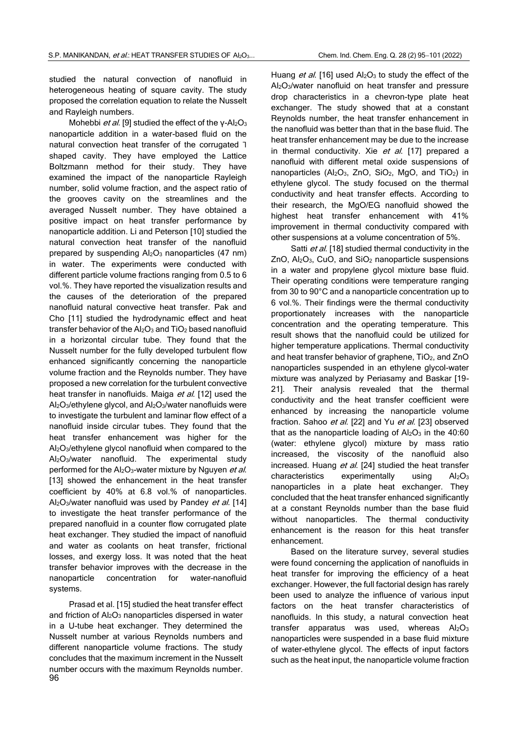studied the natural convection of nanofluid in heterogeneous heating of square cavity. The study proposed the correlation equation to relate the Nusselt and Rayleigh numbers.

Mohebbi et al. [9] studied the effect of the  $\gamma$ -Al<sub>2</sub>O<sub>3</sub> nanoparticle addition in a water-based fluid on the natural convection heat transfer of the corrugated 1 shaped cavity. They have employed the Lattice Boltzmann method for their study. They have examined the impact of the nanoparticle Rayleigh number, solid volume fraction, and the aspect ratio of the grooves cavity on the streamlines and the averaged Nusselt number. They have obtained a positive impact on heat transfer performance by nanoparticle addition. Li and Peterson [10] studied the natural convection heat transfer of the nanofluid prepared by suspending  $Al_2O_3$  nanoparticles (47 nm) in water. The experiments were conducted with different particle volume fractions ranging from 0.5 to 6 vol.%. They have reported the visualization results and the causes of the deterioration of the prepared nanofluid natural convective heat transfer. Pak and Cho [11] studied the hydrodynamic effect and heat transfer behavior of the  $Al_2O_3$  and  $TiO_2$  based nanofluid in a horizontal circular tube. They found that the Nusselt number for the fully developed turbulent flow enhanced significantly concerning the nanoparticle volume fraction and the Reynolds number. They have proposed a new correlation for the turbulent convective heat transfer in nanofluids. Maiga et al. [12] used the Al2O3/ethylene glycol, and Al2O3/water nanofluids were to investigate the turbulent and laminar flow effect of a nanofluid inside circular tubes. They found that the heat transfer enhancement was higher for the Al2O3/ethylene glycol nanofluid when compared to the Al2O3/water nanofluid. The experimental study performed for the  $Al_2O_3$ -water mixture by Nguyen et al. [13] showed the enhancement in the heat transfer coefficient by 40% at 6.8 vol.% of nanoparticles. Al<sub>2</sub>O<sub>3</sub>/water nanofluid was used by Pandey et al. [14] to investigate the heat transfer performance of the prepared nanofluid in a counter flow corrugated plate heat exchanger. They studied the impact of nanofluid and water as coolants on heat transfer, frictional losses, and exergy loss. It was noted that the heat transfer behavior improves with the decrease in the nanoparticle concentration for water–nanofluid systems.

96 Prasad et al. [15] studied the heat transfer effect and friction of Al<sub>2</sub>O<sub>3</sub> nanoparticles dispersed in water in a U-tube heat exchanger. They determined the Nusselt number at various Reynolds numbers and different nanoparticle volume fractions. The study concludes that the maximum increment in the Nusselt number occurs with the maximum Reynolds number.

Huang *et al.* [16] used  $Al_2O_3$  to study the effect of the Al<sub>2</sub>O<sub>3</sub>/water nanofluid on heat transfer and pressure drop characteristics in a chevron-type plate heat exchanger. The study showed that at a constant Reynolds number, the heat transfer enhancement in the nanofluid was better than that in the base fluid. The heat transfer enhancement may be due to the increase in thermal conductivity. Xie et al. [17] prepared a nanofluid with different metal oxide suspensions of nanoparticles (Al2O3, ZnO, SiO2, MgO, and TiO2) in ethylene glycol. The study focused on the thermal conductivity and heat transfer effects. According to their research, the MgO/EG nanofluid showed the highest heat transfer enhancement with 41% improvement in thermal conductivity compared with other suspensions at a volume concentration of 5%.

Satti et al. [18] studied thermal conductivity in the ZnO, Al<sub>2</sub>O<sub>3</sub>, CuO, and SiO<sub>2</sub> nanoparticle suspensions in a water and propylene glycol mixture base fluid. Their operating conditions were temperature ranging from 30 to 90°C and a nanoparticle concentration up to 6 vol.%. Their findings were the thermal conductivity proportionately increases with the nanoparticle concentration and the operating temperature. This result shows that the nanofluid could be utilized for higher temperature applications. Thermal conductivity and heat transfer behavior of graphene, TiO<sub>2</sub>, and ZnO nanoparticles suspended in an ethylene glycol-water mixture was analyzed by Periasamy and Baskar [19- 21]. Their analysis revealed that the thermal conductivity and the heat transfer coefficient were enhanced by increasing the nanoparticle volume fraction. Sahoo et al. [22] and Yu et al. [23] observed that as the nanoparticle loading of  $Al_2O_3$  in the  $40:60$ (water: ethylene glycol) mixture by mass ratio increased, the viscosity of the nanofluid also increased. Huang et al. [24] studied the heat transfer characteristics experimentally using  $Al_2O_3$ nanoparticles in a plate heat exchanger. They concluded that the heat transfer enhanced significantly at a constant Reynolds number than the base fluid without nanoparticles. The thermal conductivity enhancement is the reason for this heat transfer enhancement.

Based on the literature survey, several studies were found concerning the application of nanofluids in heat transfer for improving the efficiency of a heat exchanger. However, the full factorial design has rarely been used to analyze the influence of various input factors on the heat transfer characteristics of nanofluids. In this study, a natural convection heat transfer apparatus was used, whereas  $Al_2O_3$ nanoparticles were suspended in a base fluid mixture of water-ethylene glycol. The effects of input factors such as the heat input, the nanoparticle volume fraction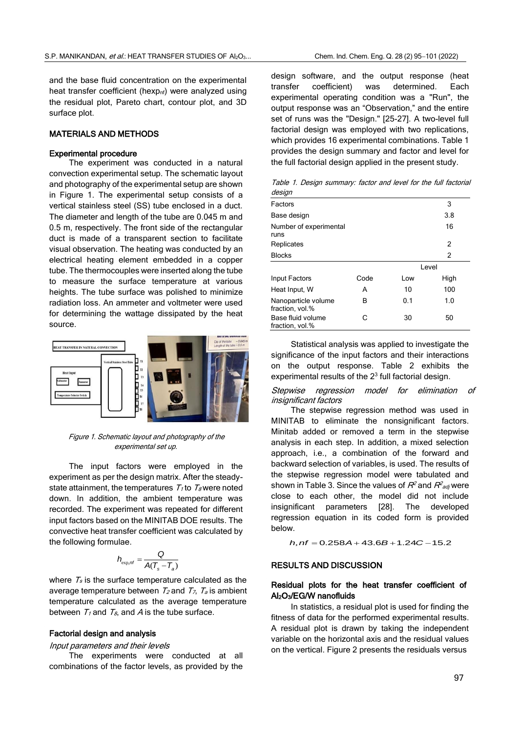and the base fluid concentration on the experimental heat transfer coefficient (hexpnf) were analyzed using the residual plot, Pareto chart, contour plot, and 3D surface plot.

## MATERIALS AND METHODS

#### Experimental procedure

The experiment was conducted in a natural convection experimental setup. The schematic layout and photography of the experimental setup are shown in Figure 1. The experimental setup consists of a vertical stainless steel (SS) tube enclosed in a duct. The diameter and length of the tube are 0.045 m and 0.5 m, respectively. The front side of the rectangular duct is made of a transparent section to facilitate visual observation. The heating was conducted by an electrical heating element embedded in a copper tube. The thermocouples were inserted along the tube to measure the surface temperature at various heights. The tube surface was polished to minimize radiation loss. An ammeter and voltmeter were used for determining the wattage dissipated by the heat source.



Figure 1. Schematic layout and photography of the experimental set up.

The input factors were employed in the experiment as per the design matrix. After the steadystate attainment, the temperatures  $T_1$  to  $T_8$  were noted down. In addition, the ambient temperature was recorded. The experiment was repeated for different input factors based on the MINITAB DOE results. The convective heat transfer coefficient was calculated by the following formulae.

$$
h_{\text{exp},\text{nf}} = \frac{Q}{A(T_s - T_a)}
$$

where  $T<sub>s</sub>$  is the surface temperature calculated as the average temperature between  $T_2$  and  $T_7$ ,  $T_a$  is ambient temperature calculated as the average temperature between  $T_1$  and  $T_8$ , and A is the tube surface.

### Factorial design and analysis

#### Input parameters and their levels

The experiments were conducted at all combinations of the factor levels, as provided by the design software, and the output response (heat transfer coefficient) was determined. Each experimental operating condition was a "Run", the output response was an "Observation," and the entire set of runs was the "Design." [25-27]. A two-level full factorial design was employed with two replications, which provides 16 experimental combinations. Table 1 provides the design summary and factor and level for the full factorial design applied in the present study.

| uesiyii                                |      |     |       |
|----------------------------------------|------|-----|-------|
| Factors                                |      |     | 3     |
| Base design                            |      |     | 3.8   |
| Number of experimental<br>runs         |      |     | 16    |
| Replicates                             |      |     | 2     |
| <b>Blocks</b>                          |      |     | 2     |
|                                        |      |     |       |
|                                        |      |     | Level |
| Input Factors                          | Code | Low | High  |
| Heat Input, W                          | А    | 10  | 100   |
| Nanoparticle volume<br>fraction, vol.% | в    | 0.1 | 1.0   |

|        |  | Table 1. Design summary: factor and level for the full factorial |  |  |  |  |
|--------|--|------------------------------------------------------------------|--|--|--|--|
| design |  |                                                                  |  |  |  |  |

Statistical analysis was applied to investigate the significance of the input factors and their interactions on the output response. Table 2 exhibits the experimental results of the  $2<sup>3</sup>$  full factorial design.

Stepwise regression model for elimination of insignificant factors

The stepwise regression method was used in MINITAB to eliminate the nonsignificant factors. Minitab added or removed a term in the stepwise analysis in each step. In addition, a mixed selection approach, i.e., a combination of the forward and backward selection of variables, is used. The results of the stepwise regression model were tabulated and shown in Table 3. Since the values of  $R^2$  and  $R^2$ <sub>adj</sub> were close to each other, the model did not include insignificant parameters [28]. The developed regression equation in its coded form is provided below. *n.<br>h, nf =* 0.258A+43.6B+1.24C−15.2

$$
h, nf = 0.258A + 43.6B + 1.24C - 15.2
$$

## RESULTS AND DISCUSSION

## Residual plots for the heat transfer coefficient of Al2O3/EG/W nanofluids

In statistics, a residual plot is used for finding the fitness of data for the performed experimental results. A residual plot is drawn by taking the independent variable on the horizontal axis and the residual values on the vertical. Figure 2 presents the residuals versus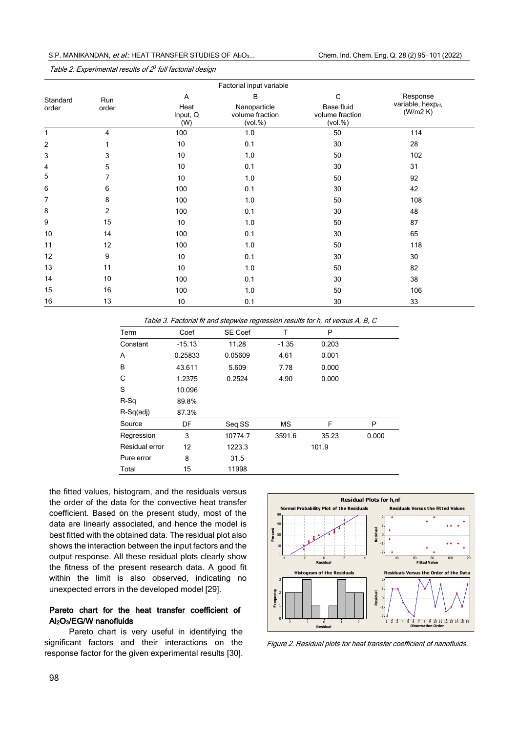### S.P. MANIKANDAN, et al.: HEAT TRANSFER STUDIES OF Al<sub>2</sub>O<sub>3</sub>... Chem. Ind. Chem. Eng. Q. 28 (2) 95–101 (2022)

Table 2. Experimental results of 2 3 full factorial design

| Factorial input variable |                |                         |                                             |                                           |                                           |  |
|--------------------------|----------------|-------------------------|---------------------------------------------|-------------------------------------------|-------------------------------------------|--|
| Standard<br>order        | Run            | Α                       | В                                           | C                                         | Response<br>variable, hexpnf,<br>(W/m2 K) |  |
|                          | order          | Heat<br>Input, Q<br>(W) | Nanoparticle<br>volume fraction<br>(vol. %) | Base fluid<br>volume fraction<br>(vol. %) |                                           |  |
| $\mathbf{1}$             | 4              | 100                     | 1.0                                         | 50                                        | 114                                       |  |
| $\overline{2}$           |                | 10                      | 0.1                                         | 30                                        | 28                                        |  |
| 3                        | 3              | 10                      | 1.0                                         | 50                                        | 102                                       |  |
| 4                        | 5              | 10                      | 0.1                                         | 30                                        | 31                                        |  |
| 5                        | 7              | 10                      | 1.0                                         | 50                                        | 92                                        |  |
| 6                        | 6              | 100                     | 0.1                                         | 30                                        | 42                                        |  |
| 7                        | 8              | 100                     | 1.0                                         | 50                                        | 108                                       |  |
| 8                        | $\overline{2}$ | 100                     | 0.1                                         | 30                                        | 48                                        |  |
| 9                        | 15             | 10                      | 1.0                                         | 50                                        | 87                                        |  |
| 10                       | 14             | 100                     | 0.1                                         | 30                                        | 65                                        |  |
| 11                       | 12             | 100                     | 1.0                                         | 50                                        | 118                                       |  |
| 12                       | 9              | 10                      | 0.1                                         | 30                                        | 30                                        |  |
| 13                       | 11             | 10                      | $1.0$                                       | 50                                        | 82                                        |  |
| 14                       | 10             | 100                     | 0.1                                         | 30                                        | 38                                        |  |
| 15                       | 16             | 100                     | 1.0                                         | 50                                        | 106                                       |  |
| 16                       | 13             | 10                      | 0.1                                         | 30                                        | 33                                        |  |

| Table 3. Factorial fit and stepwise regression results for h, nf versus A, B, C |          |                |           |       |       |  |
|---------------------------------------------------------------------------------|----------|----------------|-----------|-------|-------|--|
| Term                                                                            | Coef     | <b>SE Coef</b> | Т         | P     |       |  |
| Constant                                                                        | $-15.13$ | 11.28          | $-1.35$   | 0.203 |       |  |
| A                                                                               | 0.25833  | 0.05609        | 4.61      | 0.001 |       |  |
| B                                                                               | 43.611   | 5.609          | 7.78      | 0.000 |       |  |
| С                                                                               | 1.2375   | 0.2524         | 4.90      | 0.000 |       |  |
| S                                                                               | 10.096   |                |           |       |       |  |
| $R-Sq$                                                                          | 89.8%    |                |           |       |       |  |
| $R-Sq(adi)$                                                                     | 87.3%    |                |           |       |       |  |
| Source                                                                          | DF       | Seg SS         | <b>MS</b> | F     | P     |  |
| Regression                                                                      | 3        | 10774.7        | 3591.6    | 35.23 | 0.000 |  |
| Residual error                                                                  | 12       | 1223.3         |           | 101.9 |       |  |
| Pure error                                                                      | 8        | 31.5           |           |       |       |  |
| Total                                                                           | 15       | 11998          |           |       |       |  |

the fitted values, histogram, and the residuals versus the order of the data for the convective heat transfer coefficient. Based on the present study, most of the data are linearly associated, and hence the model is best fitted with the obtained data. The residual plot also shows the interaction between the input factors and the output response. All these residual plots clearly show the fitness of the present research data. A good fit within the limit is also observed, indicating no unexpected errors in the developed model [29].

## Pareto chart for the heat transfer coefficient of Al2O3/EG/W nanofluids

Pareto chart is very useful in identifying the significant factors and their interactions on the response factor for the given experimental results [30].



Figure 2. Residual plots for heat transfer coefficient of nanofluids.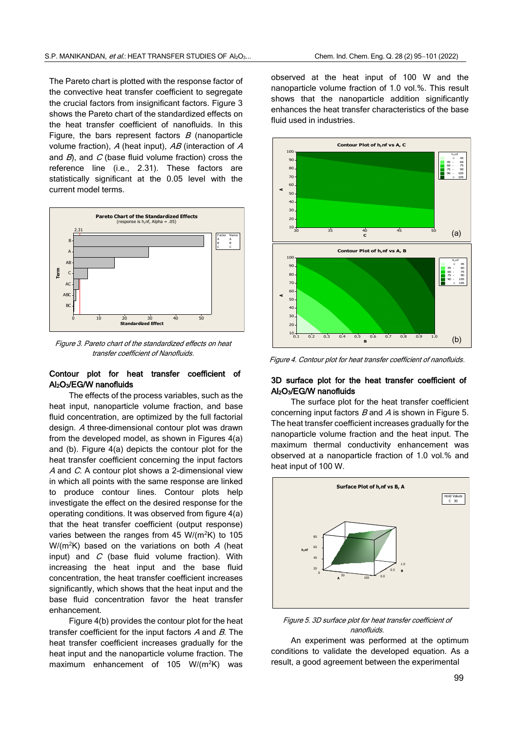The Pareto chart is plotted with the response factor of the convective heat transfer coefficient to segregate the crucial factors from insignificant factors. Figure 3 shows the Pareto chart of the standardized effects on the heat transfer coefficient of nanofluids. In this Figure, the bars represent factors  $B$  (nanoparticle volume fraction),  $A$  (heat input),  $AB$  (interaction of  $A$ and  $B$ ), and  $C$  (base fluid volume fraction) cross the reference line (i.e., 2.31). These factors are statistically significant at the 0.05 level with the current model terms.



Figure 3. Pareto chart of the standardized effects on heat transfer coefficient of Nanofluids.

## Contour plot for heat transfer coefficient of Al2O3/EG/W nanofluids

The effects of the process variables, such as the heat input, nanoparticle volume fraction, and base fluid concentration, are optimized by the full factorial design. A three-dimensional contour plot was drawn from the developed model, as shown in Figures 4(a) and (b). Figure 4(a) depicts the contour plot for the heat transfer coefficient concerning the input factors A and C. A contour plot shows a 2-dimensional view in which all points with the same response are linked to produce contour lines. Contour plots help investigate the effect on the desired response for the operating conditions. It was observed from figure 4(a) that the heat transfer coefficient (output response) varies between the ranges from  $45 \text{ W/(m²K)}$  to  $105$  $W/(m^2K)$  based on the variations on both A (heat input) and  $C$  (base fluid volume fraction). With increasing the heat input and the base fluid concentration, the heat transfer coefficient increases significantly, which shows that the heat input and the base fluid concentration favor the heat transfer enhancement.

Figure 4(b) provides the contour plot for the heat transfer coefficient for the input factors  $A$  and  $B$ . The heat transfer coefficient increases gradually for the heat input and the nanoparticle volume fraction. The maximum enhancement of 105 W/( $m^2K$ ) was

observed at the heat input of 100 W and the nanoparticle volume fraction of 1.0 vol.%. This result shows that the nanoparticle addition significantly enhances the heat transfer characteristics of the base fluid used in industries.



Figure 4. Contour plot for heat transfer coefficient of nanofluids.

## 3D surface plot for the heat transfer coefficient of Al2O3/EG/W nanofluids

The surface plot for the heat transfer coefficient concerning input factors  $B$  and  $A$  is shown in Figure 5. The heat transfer coefficient increases gradually for the nanoparticle volume fraction and the heat input. The maximum thermal conductivity enhancement was observed at a nanoparticle fraction of 1.0 vol.% and heat input of 100 W.



Figure 5. 3D surface plot for heat transfer coefficient of nanofluids.

An experiment was performed at the optimum conditions to validate the developed equation. As a result, a good agreement between the experimental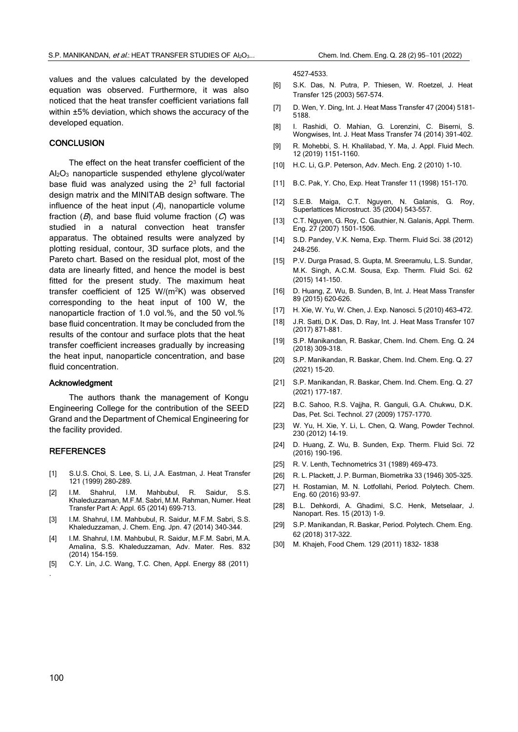values and the values calculated by the developed equation was observed. Furthermore, it was also noticed that the heat transfer coefficient variations fall within ±5% deviation, which shows the accuracy of the developed equation.

## **CONCLUSION**

The effect on the heat transfer coefficient of the Al2O<sup>3</sup> nanoparticle suspended ethylene glycol/water base fluid was analyzed using the  $2<sup>3</sup>$  full factorial design matrix and the MINITAB design software. The influence of the heat input  $(A)$ , nanoparticle volume fraction  $(B)$ , and base fluid volume fraction  $(C)$  was studied in a natural convection heat transfer apparatus. The obtained results were analyzed by plotting residual, contour, 3D surface plots, and the Pareto chart. Based on the residual plot, most of the data are linearly fitted, and hence the model is best fitted for the present study. The maximum heat transfer coefficient of 125 W/( $m<sup>2</sup>K$ ) was observed corresponding to the heat input of 100 W, the nanoparticle fraction of 1.0 vol.%, and the 50 vol.% base fluid concentration. It may be concluded from the results of the contour and surface plots that the heat transfer coefficient increases gradually by increasing the heat input, nanoparticle concentration, and base fluid concentration.

#### Acknowledgment

The authors thank the management of Kongu Engineering College for the contribution of the SEED Grand and the Department of Chemical Engineering for the facility provided.

#### **REFERENCES**

- [1] S.U.S. Choi, S. Lee, S. Li, J.A. Eastman, J. Heat Transfer 121 (1999) 280-289.
- [2] I.M. Shahrul, I.M. Mahbubul, R. Saidur, S.S. Khaleduzzaman, M.F.M. Sabri, M.M. Rahman, Numer. Heat Transfer Part A: Appl. 65 (2014) 699–713.
- [3] I.M. Shahrul, I.M. Mahbubul, R. Saidur, M.F.M. Sabri, S.S. Khaleduzzaman, J. Chem. Eng. Jpn. 47 (2014) 340–344.
- [4] I.M. Shahrul, I.M. Mahbubul, R. Saidur, M.F.M. Sabri, M.A. Amalina, S.S. Khaleduzzaman, Adv. Mater. Res. 832 (2014) 154–159.
- [5] C.Y. Lin, J.C. Wang, T.C. Chen, Appl. Energy 88 (2011)

4527–4533.

- [6] S.K. Das, N. Putra, P. Thiesen, W. Roetzel, J. Heat Transfer 125 (2003) 567-574.
- [7] D. Wen, Y. Ding, Int. J. Heat Mass Transfer 47 (2004) 5181– 5188.
- [8] I. Rashidi, O. Mahian, G. Lorenzini, C. Biserni, S. Wongwises, Int. J. Heat Mass Transfer 74 (2014) 391–402.
- [9] R. Mohebbi, S. H. Khalilabad, Y. Ma, J. Appl. Fluid Mech. 12 (2019) 1151-1160.
- [10] H.C. Li, G.P. Peterson, Adv. Mech. Eng. 2 (2010) 1-10.
- [11] B.C. Pak, Y. Cho, Exp. Heat Transfer 11 (1998) 151–170.
- [12] S.E.B. Maiga, C.T. Nguyen, N. Galanis, G. Roy, Superlattices Microstruct. 35 (2004) 543–557.
- [13] C.T. Nguyen, G. Roy, C. Gauthier, N. Galanis, Appl. Therm. Eng. 27 (2007) 1501–1506.
- [14] S.D. Pandey, V.K. Nema, Exp. Therm. Fluid Sci. 38 (2012) 248–256.
- [15] P.V. Durga Prasad, S. Gupta, M. Sreeramulu, L.S. Sundar, M.K. Singh, A.C.M. Sousa, Exp. Therm. Fluid Sci. 62 (2015) 141–150.
- [16] D. Huang, Z. Wu, B. Sunden, B, Int. J. Heat Mass Transfer 89 (2015) 620–626.
- [17] H. Xie, W. Yu, W. Chen, J. Exp. Nanosci. 5 (2010) 463-472.
- [18] J.R. Satti, D.K. Das, D. Ray, Int. J. Heat Mass Transfer 107 (2017) 871–881.
- [19] S.P. Manikandan, R. Baskar, Chem. Ind. Chem. Eng. Q. 24 (2018) 309-318.
- [20] S.P. Manikandan, R. Baskar, Chem. Ind. Chem. Eng. Q. 27 (2021) 15-20.
- [21] S.P. Manikandan, R. Baskar, Chem. Ind. Chem. Eng. Q. 27 (2021) 177-187.
- [22] B.C. Sahoo, R.S. Vajjha, R. Ganguli, G.A. Chukwu, D.K. Das, Pet. Sci. Technol. 27 (2009) 1757–1770.
- [23] W. Yu, H. Xie, Y. Li, L. Chen, Q. Wang, Powder Technol. 230 (2012) 14–19.
- [24] D. Huang, Z. Wu, B. Sunden, Exp. Therm. Fluid Sci. 72 (2016) 190–196.
- [25] R. V. Lenth, Technometrics 31 (1989) 469-473.
- [26] R. L. Plackett, J. P. Burman, Biometrika 33 (1946) 305-325.
- [27] H. Rostamian, M. N. Lotfollahi, Period. Polytech. Chem. Eng. 60 (2016) 93-97.
- [28] B.L. Dehkordi, A. Ghadimi, S.C. Henk, Metselaar, J. Nanopart. Res. 15 (2013) 1-9.
- [29] S.P. Manikandan, R. Baskar, Period. Polytech. Chem. Eng. 62 (2018) 317-322.
- [30] M. Khajeh, Food Chem. 129 (2011) 1832- 1838

.